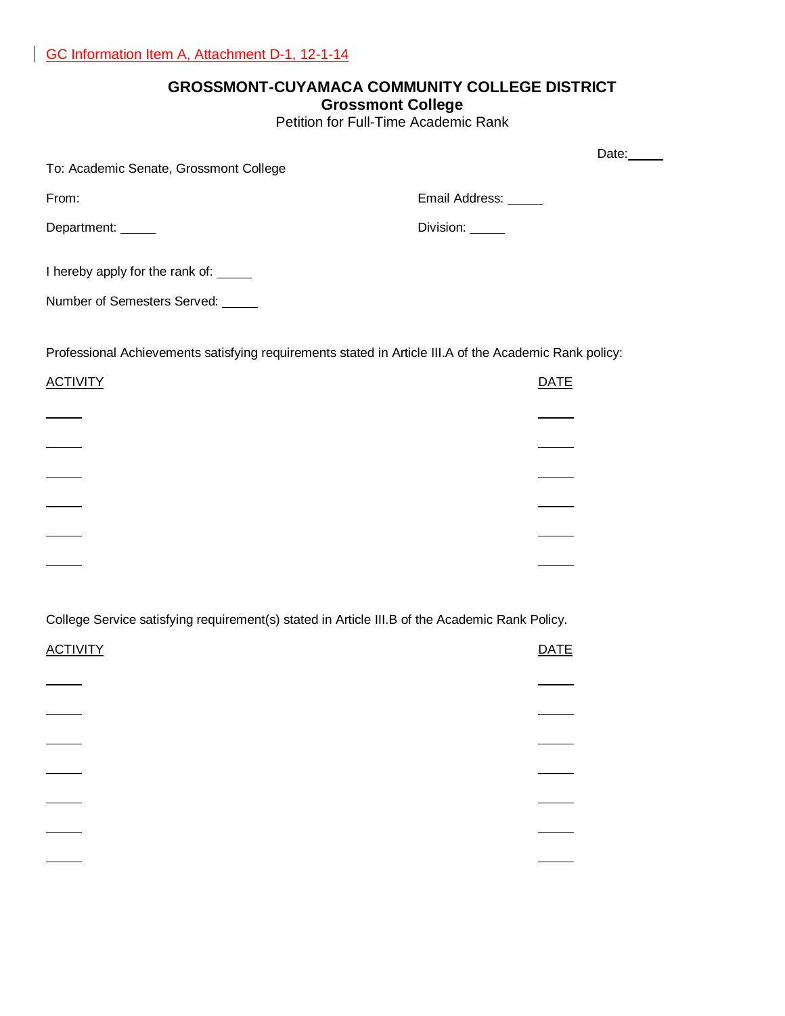# **GROSSMONT-CUYAMACA COMMUNITY COLLEGE DISTRICT**

#### **Grossmont College**

Petition for Full-Time Academic Rank

|                                                                                                        |                      | Date: |
|--------------------------------------------------------------------------------------------------------|----------------------|-------|
| To: Academic Senate, Grossmont College                                                                 |                      |       |
| From:                                                                                                  | Email Address: _____ |       |
| Department: _____                                                                                      | Division: _____      |       |
|                                                                                                        |                      |       |
| I hereby apply for the rank of: _____                                                                  |                      |       |
| Number of Semesters Served: _____                                                                      |                      |       |
| Professional Achievements satisfying requirements stated in Article III.A of the Academic Rank policy: |                      |       |
| <b>ACTIVITY</b>                                                                                        | <b>DATE</b>          |       |
|                                                                                                        |                      |       |
|                                                                                                        |                      |       |
|                                                                                                        |                      |       |
|                                                                                                        |                      |       |
|                                                                                                        |                      |       |
|                                                                                                        |                      |       |
| College Service satisfying requirement(s) stated in Article III.B of the Academic Rank Policy.         |                      |       |
| <b>ACTIVITY</b>                                                                                        | <b>DATE</b>          |       |
|                                                                                                        |                      |       |
|                                                                                                        |                      |       |
|                                                                                                        |                      |       |
|                                                                                                        |                      |       |
|                                                                                                        |                      |       |
|                                                                                                        |                      |       |
|                                                                                                        |                      |       |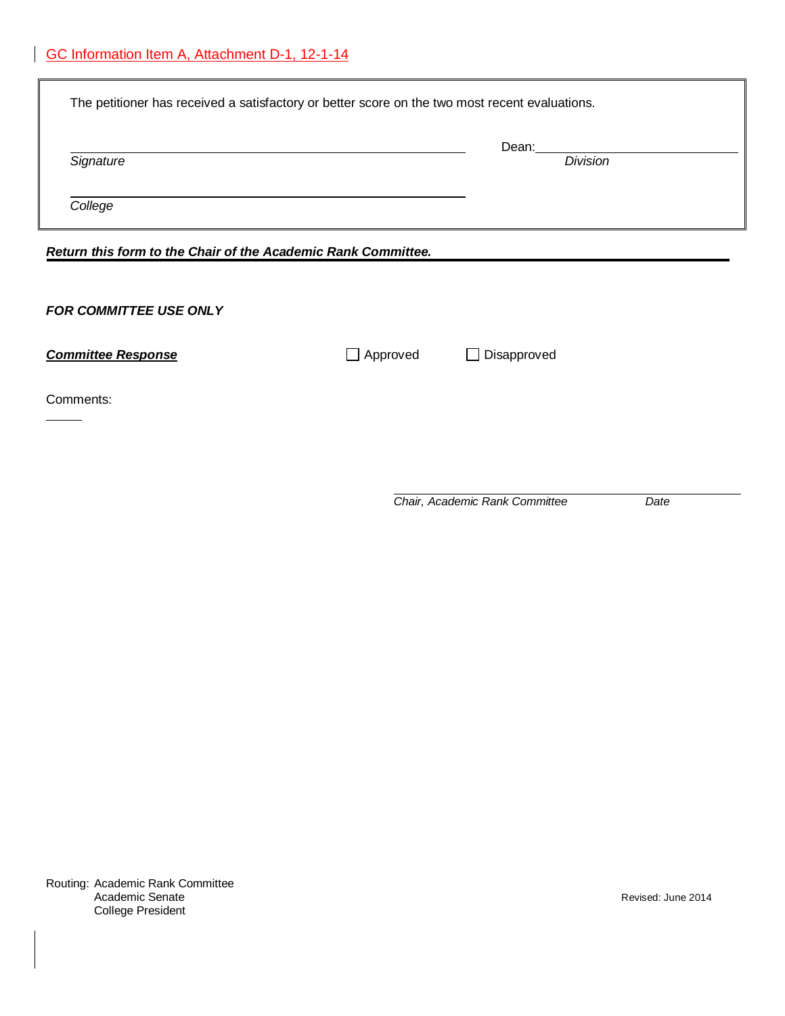| The petitioner has received a satisfactory or better score on the two most recent evaluations. |                          |  |  |  |
|------------------------------------------------------------------------------------------------|--------------------------|--|--|--|
|                                                                                                | Dean:<br><b>Division</b> |  |  |  |
|                                                                                                |                          |  |  |  |
| Return this form to the Chair of the Academic Rank Committee.                                  |                          |  |  |  |
|                                                                                                |                          |  |  |  |
| $\Box$ Approved                                                                                | Disapproved              |  |  |  |
|                                                                                                |                          |  |  |  |
|                                                                                                |                          |  |  |  |
|                                                                                                |                          |  |  |  |

*Chair, Academic Rank Committee Date*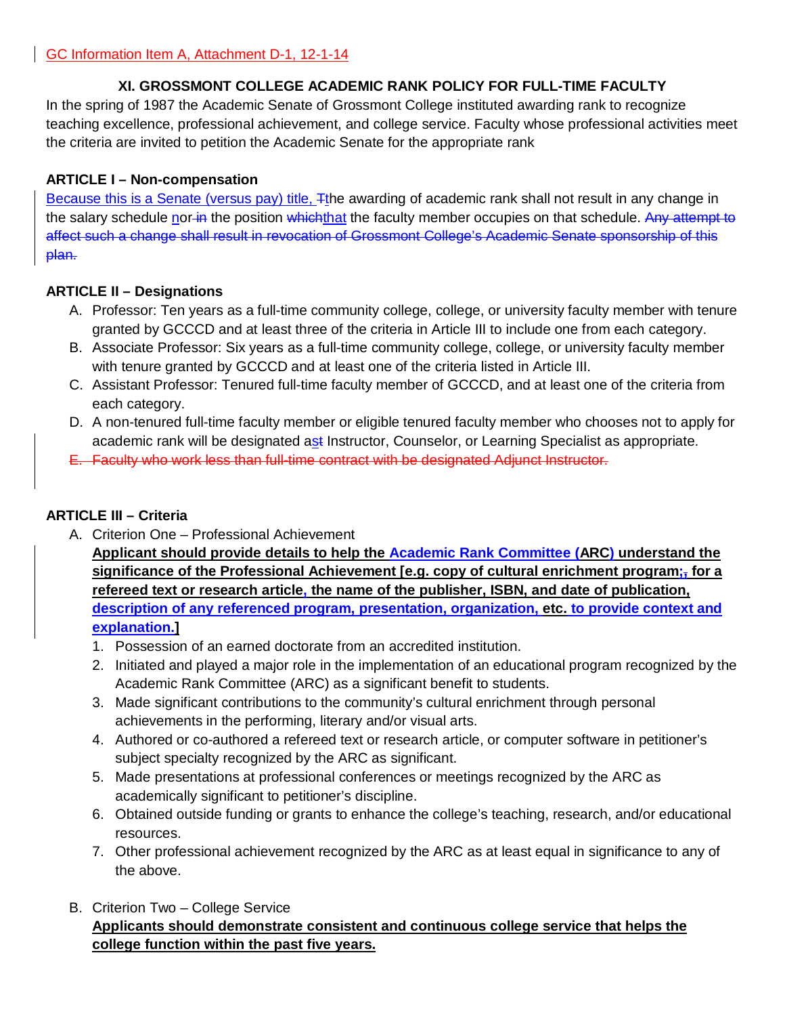# **XI. GROSSMONT COLLEGE ACADEMIC RANK POLICY FOR FULL-TIME FACULTY**

In the spring of 1987 the Academic Senate of Grossmont College instituted awarding rank to recognize teaching excellence, professional achievement, and college service. Faculty whose professional activities meet the criteria are invited to petition the Academic Senate for the appropriate rank

### **ARTICLE I – Non-compensation**

Because this is a Senate (versus pay) title, Tthe awarding of academic rank shall not result in any change in the salary schedule nor in the position whichthat the faculty member occupies on that schedule. Any attempt to affect such a change shall result in revocation of Grossmont College's Academic Senate sponsorship of this plan.

# **ARTICLE II – Designations**

- A. Professor: Ten years as a full-time community college, college, or university faculty member with tenure granted by GCCCD and at least three of the criteria in Article III to include one from each category.
- B. Associate Professor: Six years as a full-time community college, college, or university faculty member with tenure granted by GCCCD and at least one of the criteria listed in Article III.
- C. Assistant Professor: Tenured full-time faculty member of GCCCD, and at least one of the criteria from each category.
- D. A non-tenured full-time faculty member or eligible tenured faculty member who chooses not to apply for academic rank will be designated ast Instructor, Counselor, or Learning Specialist as appropriate.
- E. Faculty who work less than full-time contract with be designated Adjunct Instructor.

# **ARTICLE III – Criteria**

A. Criterion One – Professional Achievement

**Applicant should provide details to help the Academic Rank Committee (ARC) understand the significance of the Professional Achievement [e.g. copy of cultural enrichment program;, for a refereed text or research article, the name of the publisher, ISBN, and date of publication, description of any referenced program, presentation, organization, etc. to provide context and explanation.]**

- 1. Possession of an earned doctorate from an accredited institution.
- 2. Initiated and played a major role in the implementation of an educational program recognized by the Academic Rank Committee (ARC) as a significant benefit to students.
- 3. Made significant contributions to the community's cultural enrichment through personal achievements in the performing, literary and/or visual arts.
- 4. Authored or co-authored a refereed text or research article, or computer software in petitioner's subject specialty recognized by the ARC as significant.
- 5. Made presentations at professional conferences or meetings recognized by the ARC as academically significant to petitioner's discipline.
- 6. Obtained outside funding or grants to enhance the college's teaching, research, and/or educational resources.
- 7. Other professional achievement recognized by the ARC as at least equal in significance to any of the above.
- B. Criterion Two College Service

# **Applicants should demonstrate consistent and continuous college service that helps the college function within the past five years.**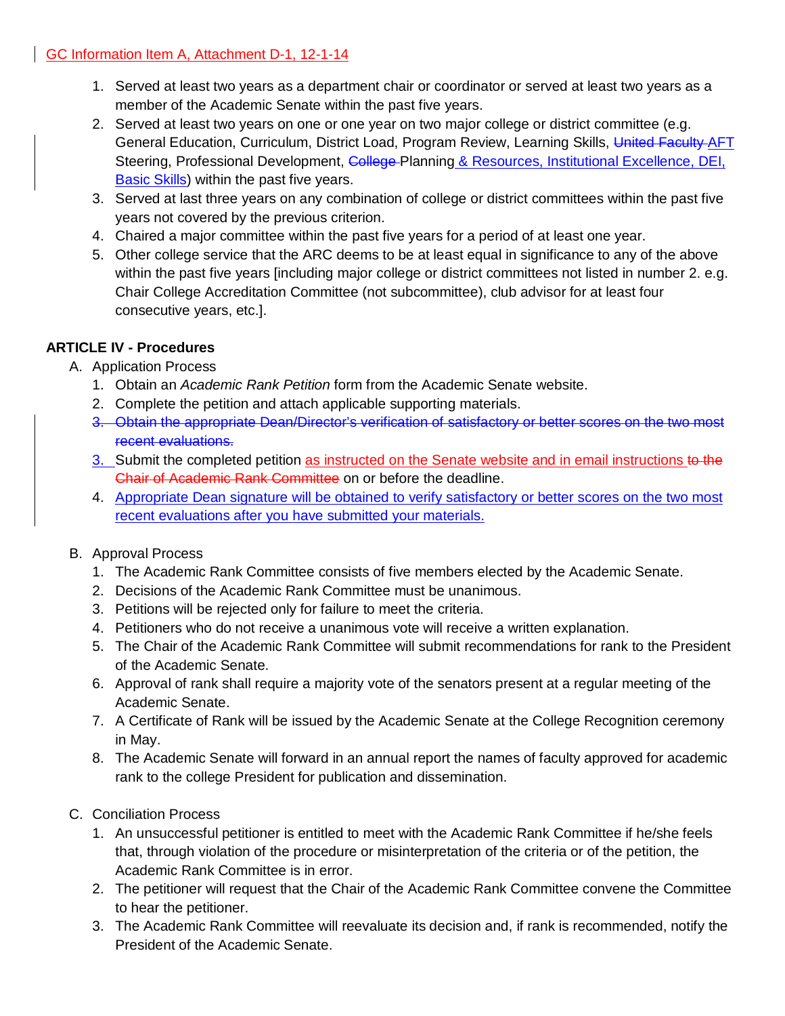- 1. Served at least two years as a department chair or coordinator or served at least two years as a member of the Academic Senate within the past five years.
- 2. Served at least two years on one or one year on two major college or district committee (e.g. General Education, Curriculum, District Load, Program Review, Learning Skills, United Faculty AFT Steering, Professional Development, College-Planning & Resources, Institutional Excellence, DEI, Basic Skills) within the past five years.
- 3. Served at last three years on any combination of college or district committees within the past five years not covered by the previous criterion.
- 4. Chaired a major committee within the past five years for a period of at least one year.
- 5. Other college service that the ARC deems to be at least equal in significance to any of the above within the past five years [including major college or district committees not listed in number 2. e.g. Chair College Accreditation Committee (not subcommittee), club advisor for at least four consecutive years, etc.].

# **ARTICLE IV - Procedures**

- A. Application Process
	- 1. Obtain an *Academic Rank Petition* form from the Academic Senate website.
	- 2. Complete the petition and attach applicable supporting materials.
	- 3. Obtain the appropriate Dean/Director's verification of satisfactory or better scores on the two most recent evaluations.
	- 3. Submit the completed petition as instructed on the Senate website and in email instructions to the Chair of Academic Rank Committee on or before the deadline.
	- 4. Appropriate Dean signature will be obtained to verify satisfactory or better scores on the two most recent evaluations after you have submitted your materials.
- B. Approval Process
	- 1. The Academic Rank Committee consists of five members elected by the Academic Senate.
	- 2. Decisions of the Academic Rank Committee must be unanimous.
	- 3. Petitions will be rejected only for failure to meet the criteria.
	- 4. Petitioners who do not receive a unanimous vote will receive a written explanation.
	- 5. The Chair of the Academic Rank Committee will submit recommendations for rank to the President of the Academic Senate.
	- 6. Approval of rank shall require a majority vote of the senators present at a regular meeting of the Academic Senate.
	- 7. A Certificate of Rank will be issued by the Academic Senate at the College Recognition ceremony in May.
	- 8. The Academic Senate will forward in an annual report the names of faculty approved for academic rank to the college President for publication and dissemination.
- C. Conciliation Process
	- 1. An unsuccessful petitioner is entitled to meet with the Academic Rank Committee if he/she feels that, through violation of the procedure or misinterpretation of the criteria or of the petition, the Academic Rank Committee is in error.
	- 2. The petitioner will request that the Chair of the Academic Rank Committee convene the Committee to hear the petitioner.
	- 3. The Academic Rank Committee will reevaluate its decision and, if rank is recommended, notify the President of the Academic Senate.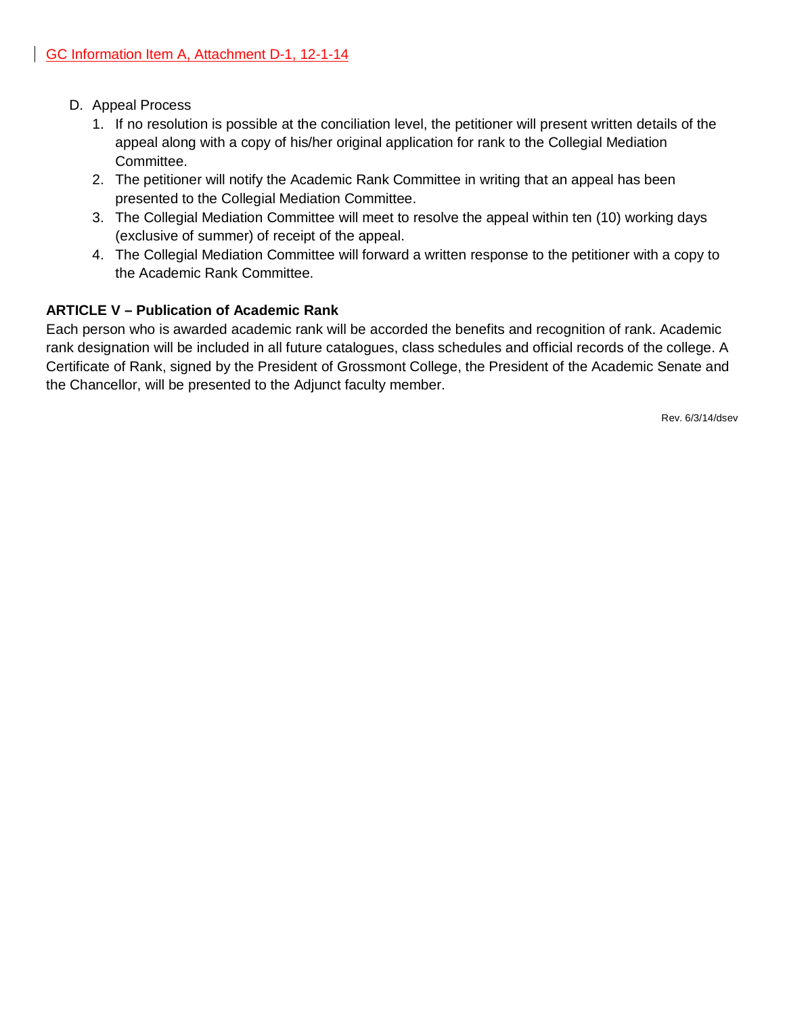- D. Appeal Process
	- 1. If no resolution is possible at the conciliation level, the petitioner will present written details of the appeal along with a copy of his/her original application for rank to the Collegial Mediation Committee.
	- 2. The petitioner will notify the Academic Rank Committee in writing that an appeal has been presented to the Collegial Mediation Committee.
	- 3. The Collegial Mediation Committee will meet to resolve the appeal within ten (10) working days (exclusive of summer) of receipt of the appeal.
	- 4. The Collegial Mediation Committee will forward a written response to the petitioner with a copy to the Academic Rank Committee.

# **ARTICLE V – Publication of Academic Rank**

Each person who is awarded academic rank will be accorded the benefits and recognition of rank. Academic rank designation will be included in all future catalogues, class schedules and official records of the college. A Certificate of Rank, signed by the President of Grossmont College, the President of the Academic Senate and the Chancellor, will be presented to the Adjunct faculty member.

Rev. 6/3/14/dsev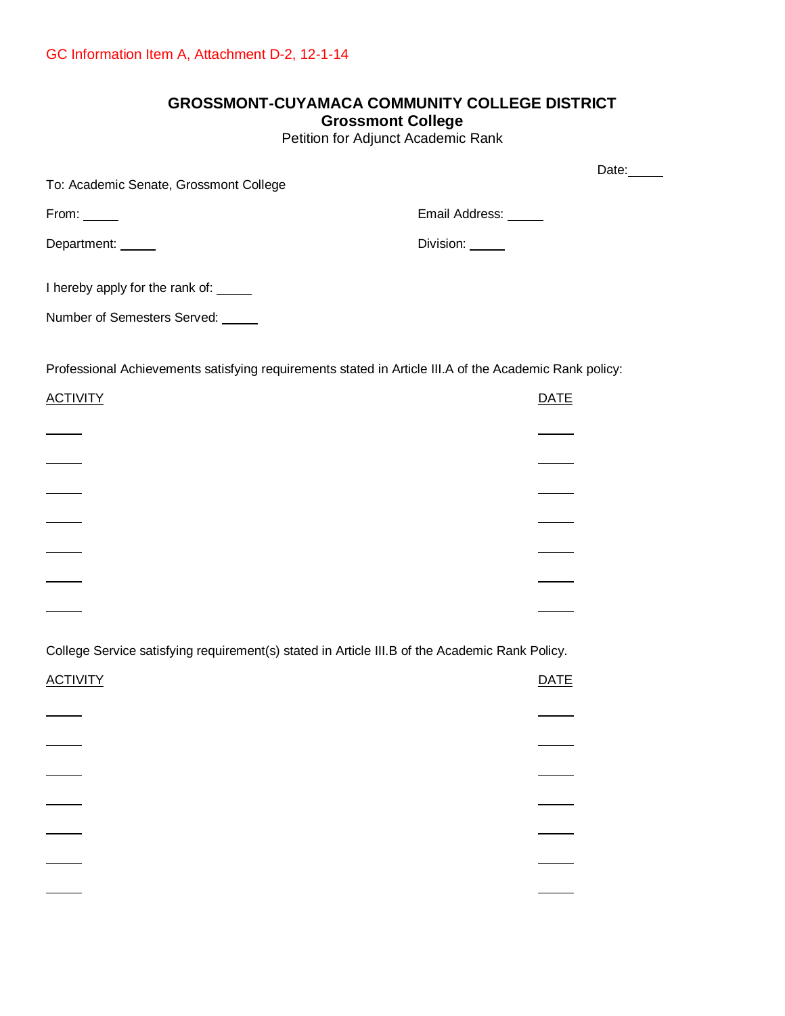# **GROSSMONT-CUYAMACA COMMUNITY COLLEGE DISTRICT Grossmont College**

Petition for Adjunct Academic Rank

|                                                                                                        | Date:                |
|--------------------------------------------------------------------------------------------------------|----------------------|
| To: Academic Senate, Grossmont College                                                                 |                      |
| From:                                                                                                  | Email Address: _____ |
| Department: _____                                                                                      | Division: _____      |
| I hereby apply for the rank of: _____                                                                  |                      |
| Number of Semesters Served: _____                                                                      |                      |
|                                                                                                        |                      |
| Professional Achievements satisfying requirements stated in Article III.A of the Academic Rank policy: |                      |
| <b>ACTIVITY</b>                                                                                        | <b>DATE</b>          |
|                                                                                                        |                      |
| $\frac{1}{1}$                                                                                          |                      |
| $\overline{\phantom{a}}$                                                                               |                      |
|                                                                                                        |                      |
|                                                                                                        |                      |
|                                                                                                        |                      |
|                                                                                                        |                      |
| College Service satisfying requirement(s) stated in Article III.B of the Academic Rank Policy.         |                      |
| <b>ACTIVITY</b>                                                                                        | <b>DATE</b>          |
|                                                                                                        |                      |
|                                                                                                        |                      |
|                                                                                                        |                      |
|                                                                                                        |                      |
|                                                                                                        |                      |
|                                                                                                        |                      |
|                                                                                                        |                      |
|                                                                                                        |                      |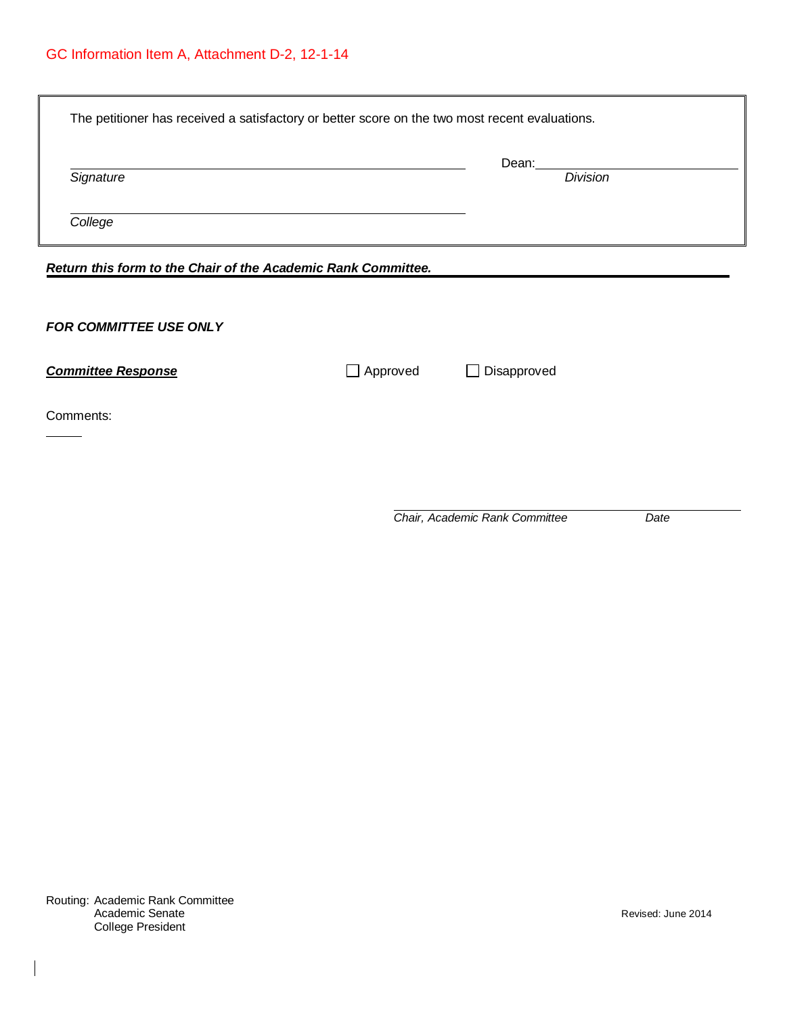| The petitioner has received a satisfactory or better score on the two most recent evaluations. |                 |                          |  |
|------------------------------------------------------------------------------------------------|-----------------|--------------------------|--|
| Signature                                                                                      |                 | Dean:<br><b>Division</b> |  |
| College                                                                                        |                 |                          |  |
| Return this form to the Chair of the Academic Rank Committee.                                  |                 |                          |  |
| <b>FOR COMMITTEE USE ONLY</b>                                                                  |                 |                          |  |
| <b>Committee Response</b>                                                                      | $\Box$ Approved | Disapproved              |  |
| Comments:                                                                                      |                 |                          |  |

*Chair, Academic Rank Committee Date*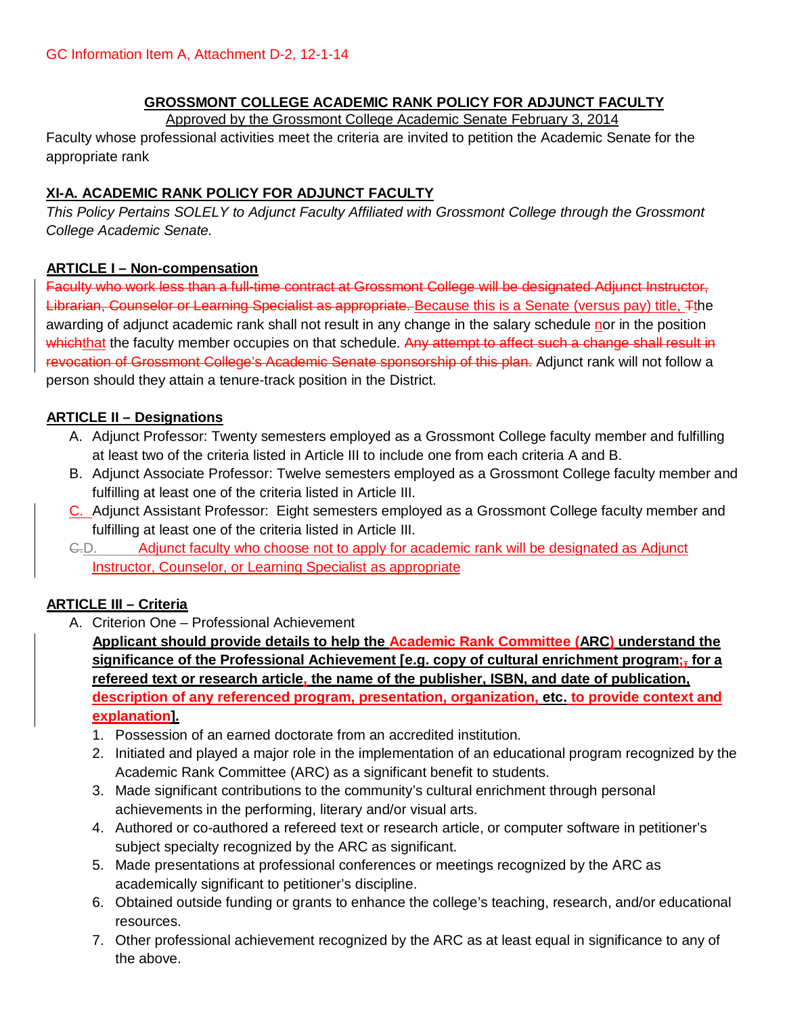# **GROSSMONT COLLEGE ACADEMIC RANK POLICY FOR ADJUNCT FACULTY**

Approved by the Grossmont College Academic Senate February 3, 2014 Faculty whose professional activities meet the criteria are invited to petition the Academic Senate for the appropriate rank

# **XI-A. ACADEMIC RANK POLICY FOR ADJUNCT FACULTY**

*This Policy Pertains SOLELY to Adjunct Faculty Affiliated with Grossmont College through the Grossmont College Academic Senate.*

### **ARTICLE I – Non-compensation**

Faculty who work less than a full-time contract at Grossmont College will be designated Adjunct Instructor, Librarian, Counselor or Learning Specialist as appropriate. Because this is a Senate (versus pay) title, Tthe awarding of adjunct academic rank shall not result in any change in the salary schedule nor in the position whichthat the faculty member occupies on that schedule. Any attempt to affect such a change shall result in revocation of Grossmont College's Academic Senate sponsorship of this plan. Adjunct rank will not follow a person should they attain a tenure-track position in the District.

### **ARTICLE II – Designations**

- A. Adjunct Professor: Twenty semesters employed as a Grossmont College faculty member and fulfilling at least two of the criteria listed in Article III to include one from each criteria A and B.
- B. Adjunct Associate Professor: Twelve semesters employed as a Grossmont College faculty member and fulfilling at least one of the criteria listed in Article III.
- C. Adjunct Assistant Professor: Eight semesters employed as a Grossmont College faculty member and fulfilling at least one of the criteria listed in Article III.
- C.D. Adjunct faculty who choose not to apply for academic rank will be designated as Adjunct Instructor, Counselor, or Learning Specialist as appropriate

### **ARTICLE III – Criteria**

A. Criterion One – Professional Achievement

**Applicant should provide details to help the Academic Rank Committee (ARC) understand the significance of the Professional Achievement [e.g. copy of cultural enrichment program;, for a refereed text or research article, the name of the publisher, ISBN, and date of publication, description of any referenced program, presentation, organization, etc. to provide context and explanation].**

- 1. Possession of an earned doctorate from an accredited institution.
- 2. Initiated and played a major role in the implementation of an educational program recognized by the Academic Rank Committee (ARC) as a significant benefit to students.
- 3. Made significant contributions to the community's cultural enrichment through personal achievements in the performing, literary and/or visual arts.
- 4. Authored or co-authored a refereed text or research article, or computer software in petitioner's subject specialty recognized by the ARC as significant.
- 5. Made presentations at professional conferences or meetings recognized by the ARC as academically significant to petitioner's discipline.
- 6. Obtained outside funding or grants to enhance the college's teaching, research, and/or educational resources.
- 7. Other professional achievement recognized by the ARC as at least equal in significance to any of the above.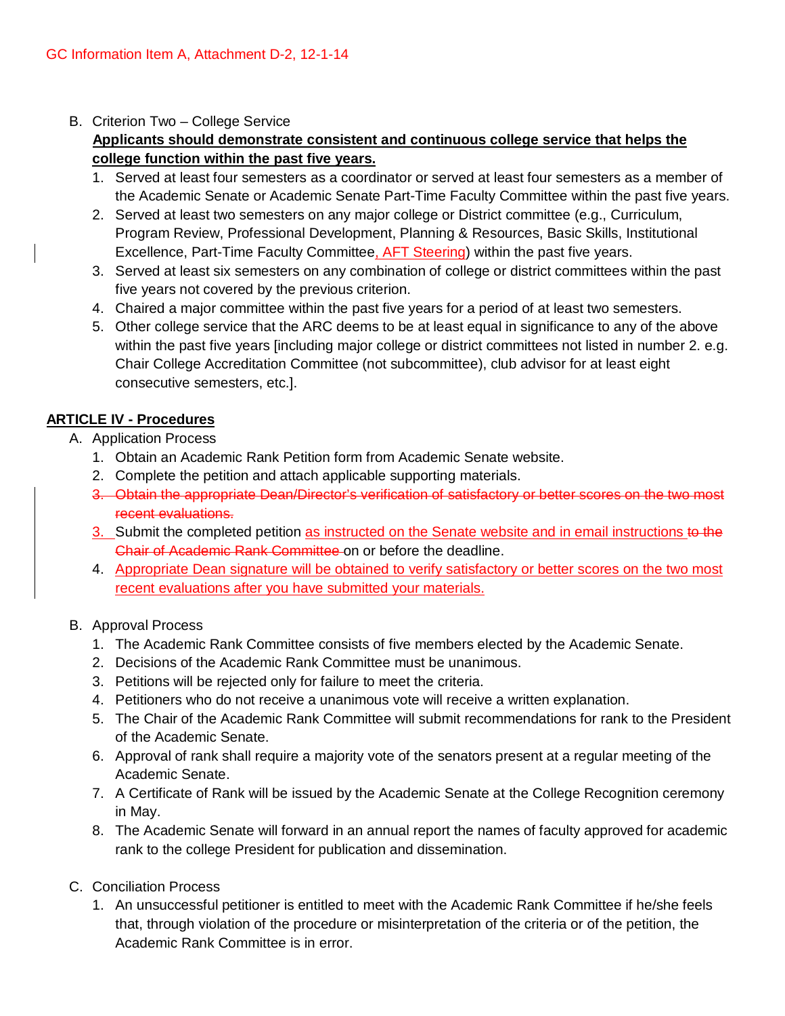### B. Criterion Two – College Service

# **Applicants should demonstrate consistent and continuous college service that helps the college function within the past five years.**

- 1. Served at least four semesters as a coordinator or served at least four semesters as a member of the Academic Senate or Academic Senate Part-Time Faculty Committee within the past five years.
- 2. Served at least two semesters on any major college or District committee (e.g., Curriculum, Program Review, Professional Development, Planning & Resources, Basic Skills, Institutional Excellence, Part-Time Faculty Committee, AFT Steering) within the past five years.
- 3. Served at least six semesters on any combination of college or district committees within the past five years not covered by the previous criterion.
- 4. Chaired a major committee within the past five years for a period of at least two semesters.
- 5. Other college service that the ARC deems to be at least equal in significance to any of the above within the past five years [including major college or district committees not listed in number 2. e.g. Chair College Accreditation Committee (not subcommittee), club advisor for at least eight consecutive semesters, etc.].

### **ARTICLE IV - Procedures**

- A. Application Process
	- 1. Obtain an Academic Rank Petition form from Academic Senate website.
	- 2. Complete the petition and attach applicable supporting materials.
	- 3. Obtain the appropriate Dean/Director's verification of satisfactory or better scores on the two most recent evaluations.
	- 3. Submit the completed petition as instructed on the Senate website and in email instructions to the Chair of Academic Rank Committee on or before the deadline.
	- 4. Appropriate Dean signature will be obtained to verify satisfactory or better scores on the two most recent evaluations after you have submitted your materials.

### B. Approval Process

- 1. The Academic Rank Committee consists of five members elected by the Academic Senate.
- 2. Decisions of the Academic Rank Committee must be unanimous.
- 3. Petitions will be rejected only for failure to meet the criteria.
- 4. Petitioners who do not receive a unanimous vote will receive a written explanation.
- 5. The Chair of the Academic Rank Committee will submit recommendations for rank to the President of the Academic Senate.
- 6. Approval of rank shall require a majority vote of the senators present at a regular meeting of the Academic Senate.
- 7. A Certificate of Rank will be issued by the Academic Senate at the College Recognition ceremony in May.
- 8. The Academic Senate will forward in an annual report the names of faculty approved for academic rank to the college President for publication and dissemination.
- C. Conciliation Process
	- 1. An unsuccessful petitioner is entitled to meet with the Academic Rank Committee if he/she feels that, through violation of the procedure or misinterpretation of the criteria or of the petition, the Academic Rank Committee is in error.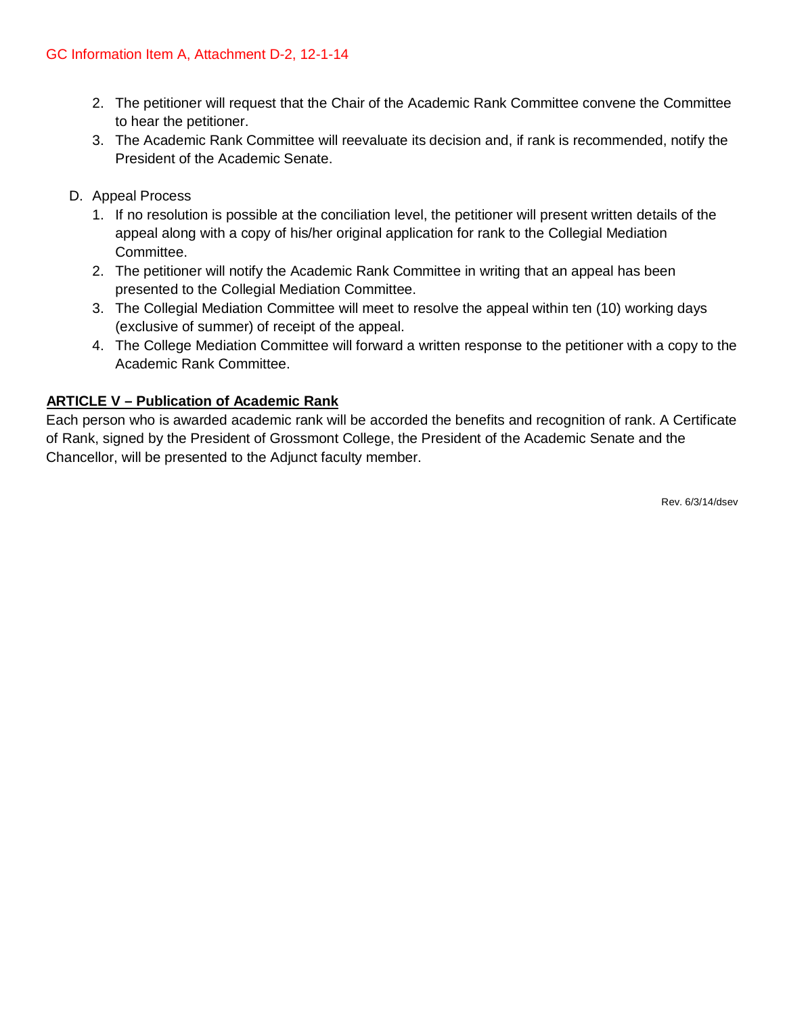- 2. The petitioner will request that the Chair of the Academic Rank Committee convene the Committee to hear the petitioner.
- 3. The Academic Rank Committee will reevaluate its decision and, if rank is recommended, notify the President of the Academic Senate.
- D. Appeal Process
	- 1. If no resolution is possible at the conciliation level, the petitioner will present written details of the appeal along with a copy of his/her original application for rank to the Collegial Mediation Committee.
	- 2. The petitioner will notify the Academic Rank Committee in writing that an appeal has been presented to the Collegial Mediation Committee.
	- 3. The Collegial Mediation Committee will meet to resolve the appeal within ten (10) working days (exclusive of summer) of receipt of the appeal.
	- 4. The College Mediation Committee will forward a written response to the petitioner with a copy to the Academic Rank Committee.

### **ARTICLE V – Publication of Academic Rank**

Each person who is awarded academic rank will be accorded the benefits and recognition of rank. A Certificate of Rank, signed by the President of Grossmont College, the President of the Academic Senate and the Chancellor, will be presented to the Adjunct faculty member.

Rev. 6/3/14/dsev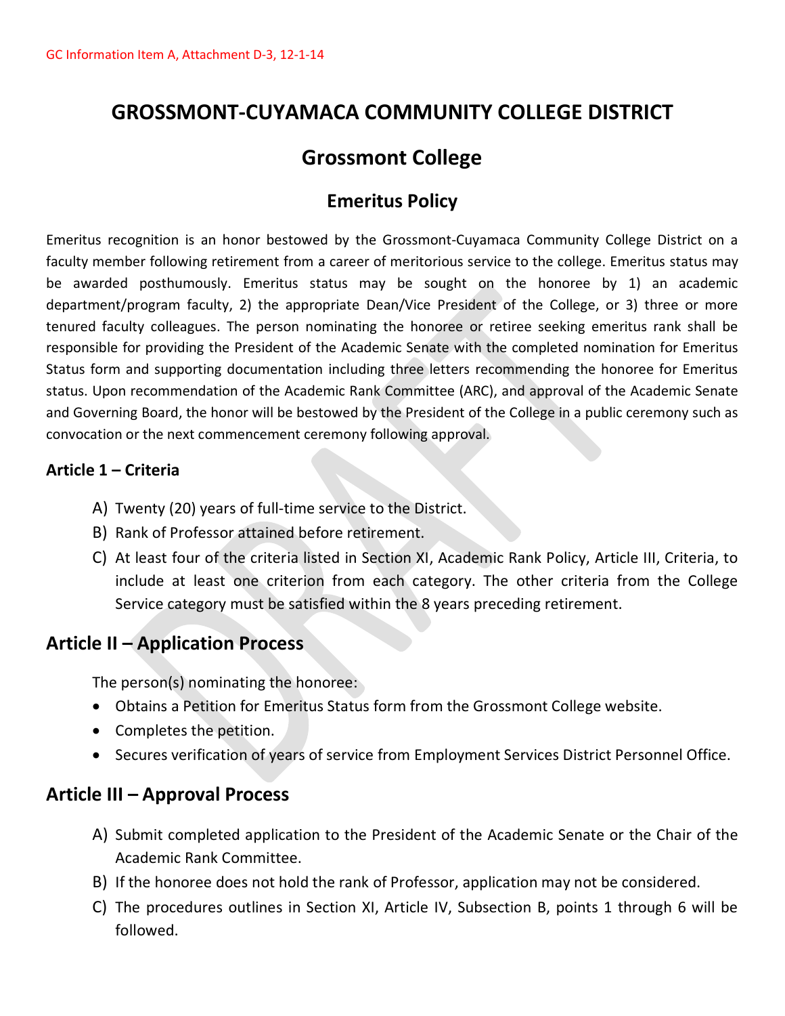# **GROSSMONT-CUYAMACA COMMUNITY COLLEGE DISTRICT**

# **Grossmont College**

# **Emeritus Policy**

Emeritus recognition is an honor bestowed by the Grossmont-Cuyamaca Community College District on a faculty member following retirement from a career of meritorious service to the college. Emeritus status may be awarded posthumously. Emeritus status may be sought on the honoree by 1) an academic department/program faculty, 2) the appropriate Dean/Vice President of the College, or 3) three or more tenured faculty colleagues. The person nominating the honoree or retiree seeking emeritus rank shall be responsible for providing the President of the Academic Senate with the completed nomination for Emeritus Status form and supporting documentation including three letters recommending the honoree for Emeritus status. Upon recommendation of the Academic Rank Committee (ARC), and approval of the Academic Senate and Governing Board, the honor will be bestowed by the President of the College in a public ceremony such as convocation or the next commencement ceremony following approval.

# **Article 1 – Criteria**

- A) Twenty (20) years of full-time service to the District.
- B) Rank of Professor attained before retirement.
- C) At least four of the criteria listed in Section XI, Academic Rank Policy, Article III, Criteria, to include at least one criterion from each category. The other criteria from the College Service category must be satisfied within the 8 years preceding retirement.

# **Article II – Application Process**

The person(s) nominating the honoree:

- Obtains a Petition for Emeritus Status form from the Grossmont College website.
- Completes the petition.
- Secures verification of years of service from Employment Services District Personnel Office.

# **Article III – Approval Process**

- A) Submit completed application to the President of the Academic Senate or the Chair of the Academic Rank Committee.
- B) If the honoree does not hold the rank of Professor, application may not be considered.
- C) The procedures outlines in Section XI, Article IV, Subsection B, points 1 through 6 will be followed.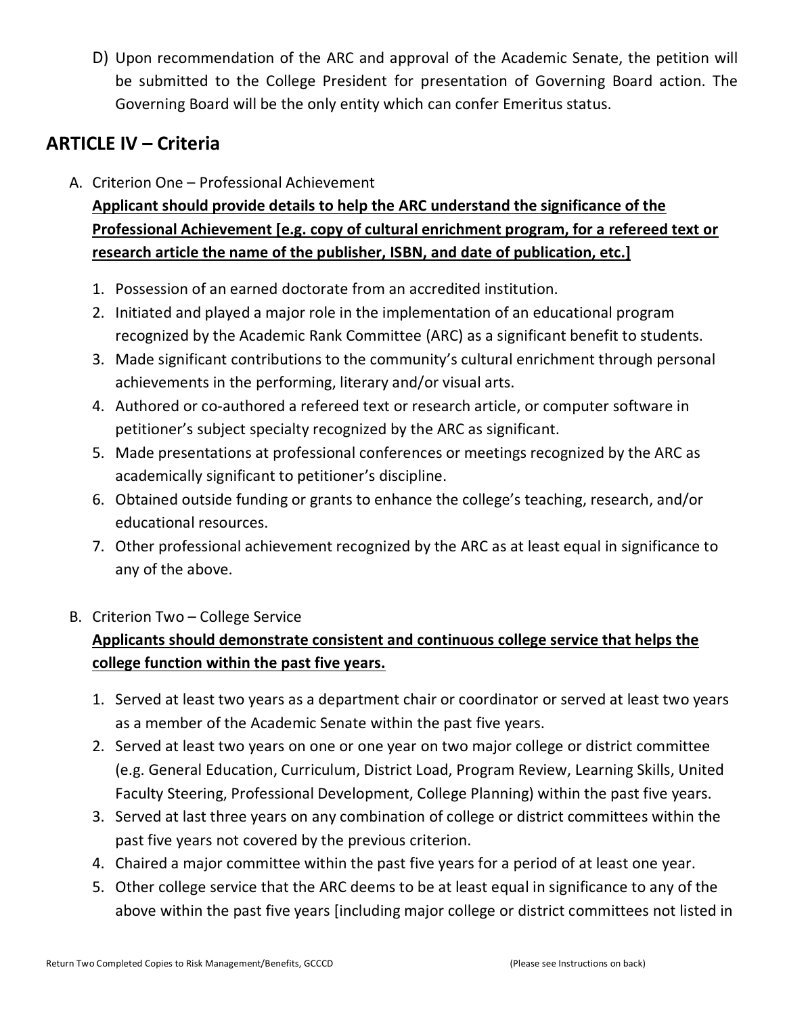D) Upon recommendation of the ARC and approval of the Academic Senate, the petition will be submitted to the College President for presentation of Governing Board action. The Governing Board will be the only entity which can confer Emeritus status.

# **ARTICLE IV – Criteria**

A. Criterion One – Professional Achievement

**Applicant should provide details to help the ARC understand the significance of the Professional Achievement [e.g. copy of cultural enrichment program, for a refereed text or research article the name of the publisher, ISBN, and date of publication, etc.]**

- 1. Possession of an earned doctorate from an accredited institution.
- 2. Initiated and played a major role in the implementation of an educational program recognized by the Academic Rank Committee (ARC) as a significant benefit to students.
- 3. Made significant contributions to the community's cultural enrichment through personal achievements in the performing, literary and/or visual arts.
- 4. Authored or co-authored a refereed text or research article, or computer software in petitioner's subject specialty recognized by the ARC as significant.
- 5. Made presentations at professional conferences or meetings recognized by the ARC as academically significant to petitioner's discipline.
- 6. Obtained outside funding or grants to enhance the college's teaching, research, and/or educational resources.
- 7. Other professional achievement recognized by the ARC as at least equal in significance to any of the above.
- B. Criterion Two College Service

# **Applicants should demonstrate consistent and continuous college service that helps the college function within the past five years.**

- 1. Served at least two years as a department chair or coordinator or served at least two years as a member of the Academic Senate within the past five years.
- 2. Served at least two years on one or one year on two major college or district committee (e.g. General Education, Curriculum, District Load, Program Review, Learning Skills, United Faculty Steering, Professional Development, College Planning) within the past five years.
- 3. Served at last three years on any combination of college or district committees within the past five years not covered by the previous criterion.
- 4. Chaired a major committee within the past five years for a period of at least one year.
- 5. Other college service that the ARC deems to be at least equal in significance to any of the above within the past five years [including major college or district committees not listed in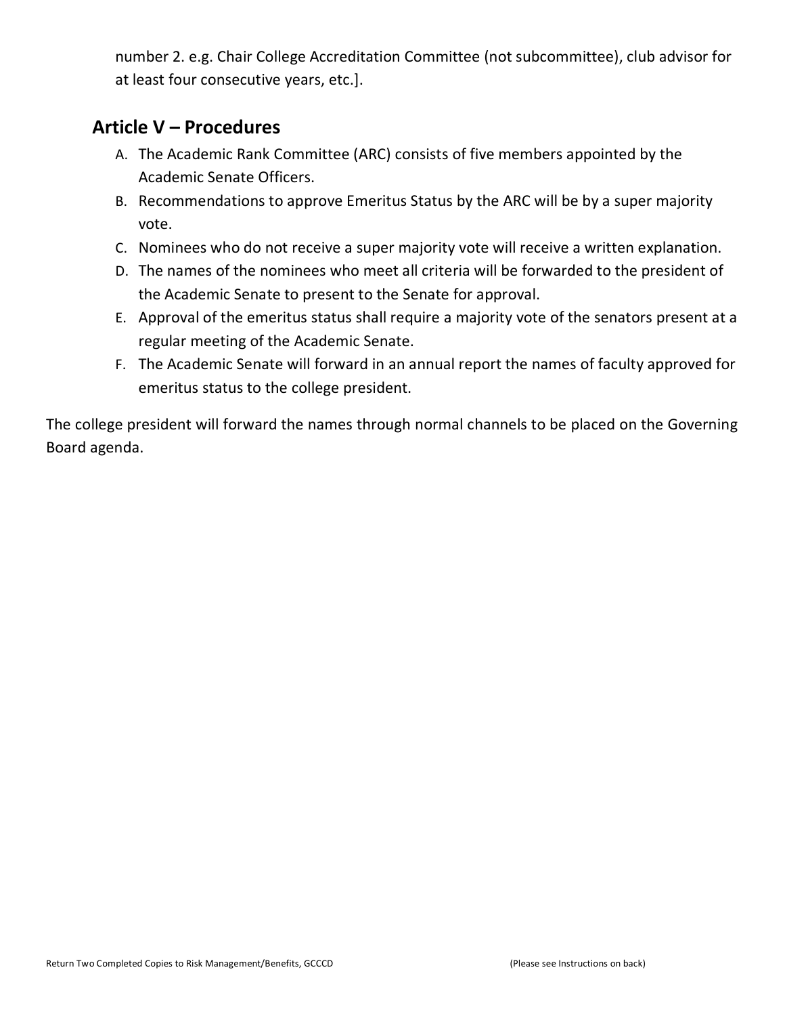number 2. e.g. Chair College Accreditation Committee (not subcommittee), club advisor for at least four consecutive years, etc.].

# **Article V – Procedures**

- A. The Academic Rank Committee (ARC) consists of five members appointed by the Academic Senate Officers.
- B. Recommendations to approve Emeritus Status by the ARC will be by a super majority vote.
- C. Nominees who do not receive a super majority vote will receive a written explanation.
- D. The names of the nominees who meet all criteria will be forwarded to the president of the Academic Senate to present to the Senate for approval.
- E. Approval of the emeritus status shall require a majority vote of the senators present at a regular meeting of the Academic Senate.
- F. The Academic Senate will forward in an annual report the names of faculty approved for emeritus status to the college president.

The college president will forward the names through normal channels to be placed on the Governing Board agenda.